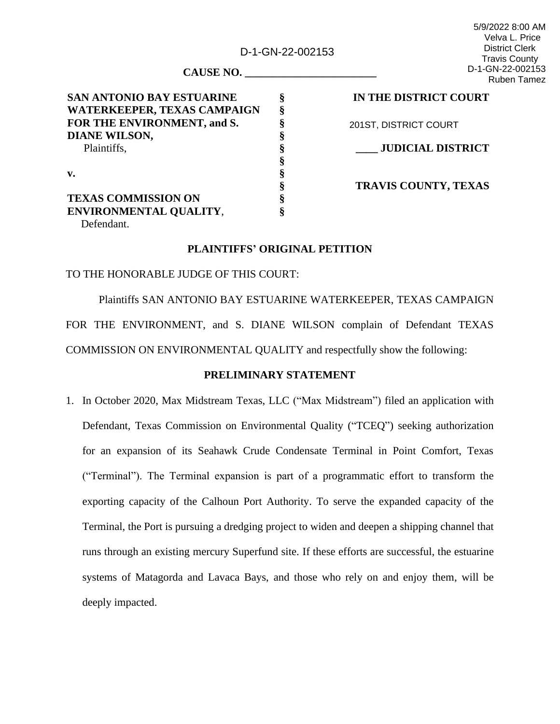D-1-GN-22-002153

**§ § § § § § § § § §**

5/9/2022 8:00 AM Velva L. Price District Clerk Travis County D-1-GN-22-002153 Ruben Tamez

**CAUSE NO. \_\_\_\_\_\_\_\_\_\_\_\_\_\_\_\_\_\_\_\_\_\_\_\_**

**SAN ANTONIO BAY ESTUARINE WATERKEEPER, TEXAS CAMPAIGN FOR THE ENVIRONMENT, and S. DIANE WILSON,**  Plaintiffs, **v. TEXAS COMMISSION ON ENVIRONMENTAL QUALITY**,

**IN THE DISTRICT COURT**

201ST, DISTRICT COURT

**\_\_\_\_ JUDICIAL DISTRICT**

**TRAVIS COUNTY, TEXAS**

Defendant.

### **PLAINTIFFS' ORIGINAL PETITION**

# TO THE HONORABLE JUDGE OF THIS COURT:

Plaintiffs SAN ANTONIO BAY ESTUARINE WATERKEEPER, TEXAS CAMPAIGN FOR THE ENVIRONMENT, and S. DIANE WILSON complain of Defendant TEXAS COMMISSION ON ENVIRONMENTAL QUALITY and respectfully show the following:

## **PRELIMINARY STATEMENT**

1. In October 2020, Max Midstream Texas, LLC ("Max Midstream") filed an application with Defendant, Texas Commission on Environmental Quality ("TCEQ") seeking authorization for an expansion of its Seahawk Crude Condensate Terminal in Point Comfort, Texas ("Terminal"). The Terminal expansion is part of a programmatic effort to transform the exporting capacity of the Calhoun Port Authority. To serve the expanded capacity of the Terminal, the Port is pursuing a dredging project to widen and deepen a shipping channel that runs through an existing mercury Superfund site. If these efforts are successful, the estuarine systems of Matagorda and Lavaca Bays, and those who rely on and enjoy them, will be deeply impacted.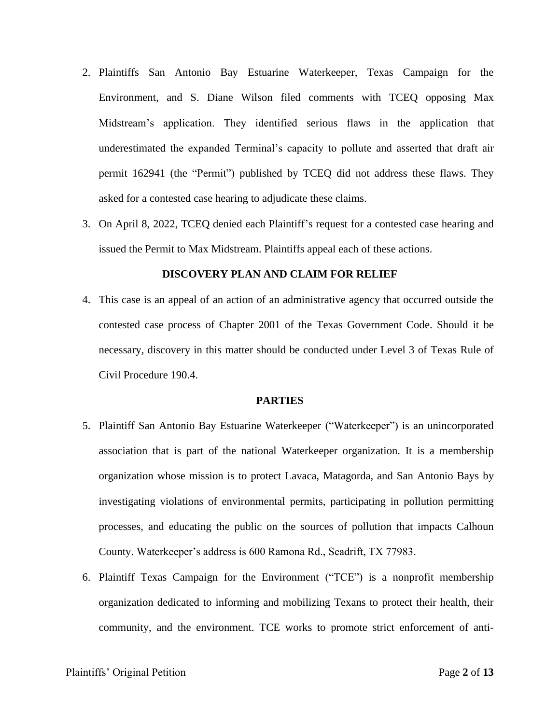- 2. Plaintiffs San Antonio Bay Estuarine Waterkeeper, Texas Campaign for the Environment, and S. Diane Wilson filed comments with TCEQ opposing Max Midstream's application. They identified serious flaws in the application that underestimated the expanded Terminal's capacity to pollute and asserted that draft air permit 162941 (the "Permit") published by TCEQ did not address these flaws. They asked for a contested case hearing to adjudicate these claims.
- 3. On April 8, 2022, TCEQ denied each Plaintiff's request for a contested case hearing and issued the Permit to Max Midstream. Plaintiffs appeal each of these actions.

## **DISCOVERY PLAN AND CLAIM FOR RELIEF**

4. This case is an appeal of an action of an administrative agency that occurred outside the contested case process of Chapter 2001 of the Texas Government Code. Should it be necessary, discovery in this matter should be conducted under Level 3 of Texas Rule of Civil Procedure 190.4.

## **PARTIES**

- 5. Plaintiff San Antonio Bay Estuarine Waterkeeper ("Waterkeeper") is an unincorporated association that is part of the national Waterkeeper organization. It is a membership organization whose mission is to protect Lavaca, Matagorda, and San Antonio Bays by investigating violations of environmental permits, participating in pollution permitting processes, and educating the public on the sources of pollution that impacts Calhoun County. Waterkeeper's address is 600 Ramona Rd., Seadrift, TX 77983.
- 6. Plaintiff Texas Campaign for the Environment ("TCE") is a nonprofit membership organization dedicated to informing and mobilizing Texans to protect their health, their community, and the environment. TCE works to promote strict enforcement of anti-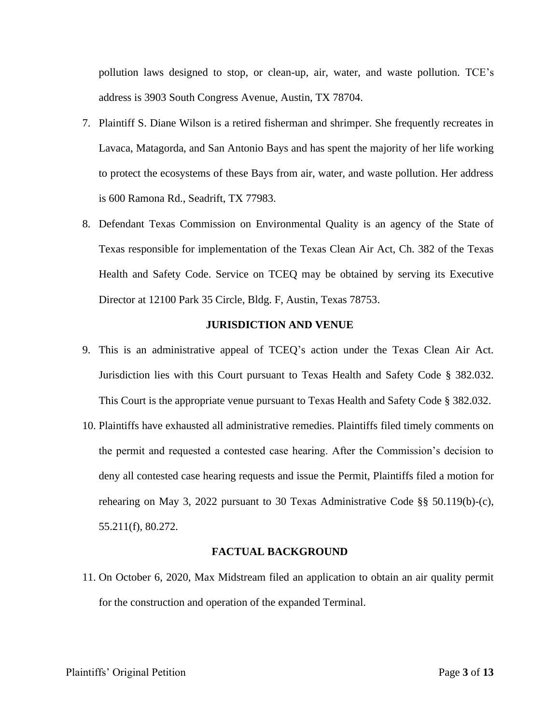pollution laws designed to stop, or clean-up, air, water, and waste pollution. TCE's address is 3903 South Congress Avenue, Austin, TX 78704.

- 7. Plaintiff S. Diane Wilson is a retired fisherman and shrimper. She frequently recreates in Lavaca, Matagorda, and San Antonio Bays and has spent the majority of her life working to protect the ecosystems of these Bays from air, water, and waste pollution. Her address is 600 Ramona Rd., Seadrift, TX 77983.
- 8. Defendant Texas Commission on Environmental Quality is an agency of the State of Texas responsible for implementation of the Texas Clean Air Act, Ch. 382 of the Texas Health and Safety Code. Service on TCEQ may be obtained by serving its Executive Director at 12100 Park 35 Circle, Bldg. F, Austin, Texas 78753.

#### **JURISDICTION AND VENUE**

- 9. This is an administrative appeal of TCEQ's action under the Texas Clean Air Act. Jurisdiction lies with this Court pursuant to Texas Health and Safety Code § 382.032. This Court is the appropriate venue pursuant to Texas Health and Safety Code § 382.032.
- 10. Plaintiffs have exhausted all administrative remedies. Plaintiffs filed timely comments on the permit and requested a contested case hearing. After the Commission's decision to deny all contested case hearing requests and issue the Permit, Plaintiffs filed a motion for rehearing on May 3, 2022 pursuant to 30 Texas Administrative Code §§ 50.119(b)-(c), 55.211(f), 80.272.

### **FACTUAL BACKGROUND**

11. On October 6, 2020, Max Midstream filed an application to obtain an air quality permit for the construction and operation of the expanded Terminal.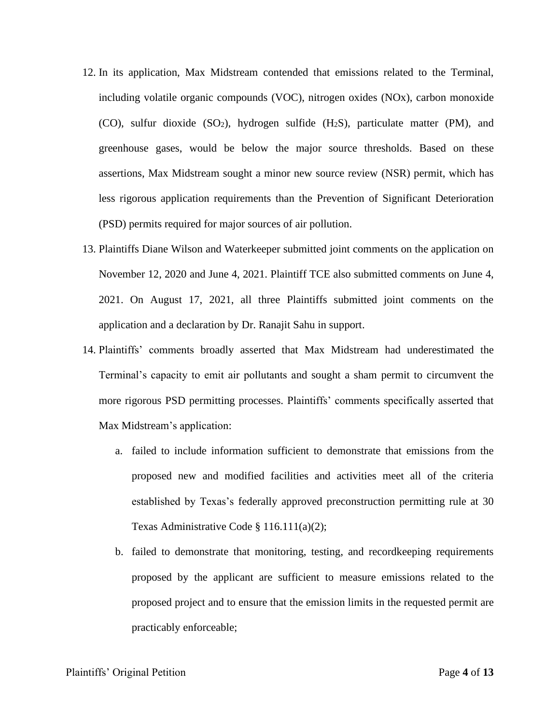- 12. In its application, Max Midstream contended that emissions related to the Terminal, including volatile organic compounds (VOC), nitrogen oxides (NOx), carbon monoxide (CO), sulfur dioxide  $(SO_2)$ , hydrogen sulfide  $(H_2S)$ , particulate matter (PM), and greenhouse gases, would be below the major source thresholds. Based on these assertions, Max Midstream sought a minor new source review (NSR) permit, which has less rigorous application requirements than the Prevention of Significant Deterioration (PSD) permits required for major sources of air pollution.
- 13. Plaintiffs Diane Wilson and Waterkeeper submitted joint comments on the application on November 12, 2020 and June 4, 2021. Plaintiff TCE also submitted comments on June 4, 2021. On August 17, 2021, all three Plaintiffs submitted joint comments on the application and a declaration by Dr. Ranajit Sahu in support.
- 14. Plaintiffs' comments broadly asserted that Max Midstream had underestimated the Terminal's capacity to emit air pollutants and sought a sham permit to circumvent the more rigorous PSD permitting processes. Plaintiffs' comments specifically asserted that Max Midstream's application:
	- a. failed to include information sufficient to demonstrate that emissions from the proposed new and modified facilities and activities meet all of the criteria established by Texas's federally approved preconstruction permitting rule at 30 Texas Administrative Code § 116.111(a)(2);
	- b. failed to demonstrate that monitoring, testing, and recordkeeping requirements proposed by the applicant are sufficient to measure emissions related to the proposed project and to ensure that the emission limits in the requested permit are practicably enforceable;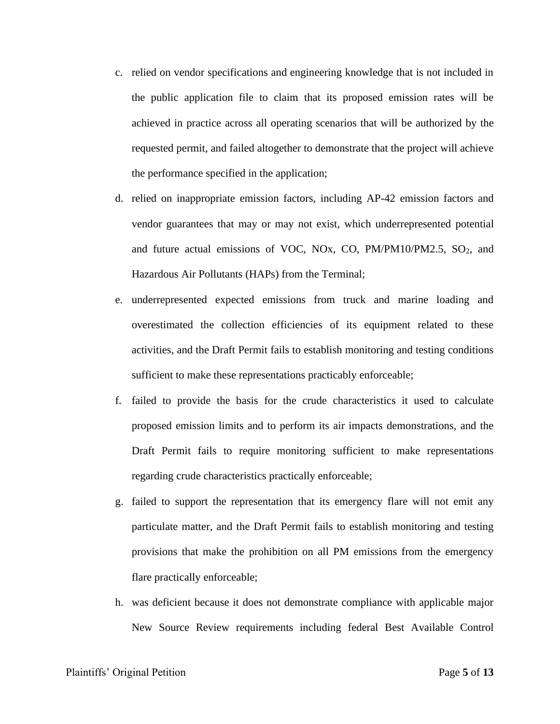- c. relied on vendor specifications and engineering knowledge that is not included in the public application file to claim that its proposed emission rates will be achieved in practice across all operating scenarios that will be authorized by the requested permit, and failed altogether to demonstrate that the project will achieve the performance specified in the application;
- d. relied on inappropriate emission factors, including AP-42 emission factors and vendor guarantees that may or may not exist, which underrepresented potential and future actual emissions of VOC, NOx, CO,  $PM/PM10/PM2.5$ , SO<sub>2</sub>, and Hazardous Air Pollutants (HAPs) from the Terminal;
- e. underrepresented expected emissions from truck and marine loading and overestimated the collection efficiencies of its equipment related to these activities, and the Draft Permit fails to establish monitoring and testing conditions sufficient to make these representations practicably enforceable;
- f. failed to provide the basis for the crude characteristics it used to calculate proposed emission limits and to perform its air impacts demonstrations, and the Draft Permit fails to require monitoring sufficient to make representations regarding crude characteristics practically enforceable;
- g. failed to support the representation that its emergency flare will not emit any particulate matter, and the Draft Permit fails to establish monitoring and testing provisions that make the prohibition on all PM emissions from the emergency flare practically enforceable;
- h. was deficient because it does not demonstrate compliance with applicable major New Source Review requirements including federal Best Available Control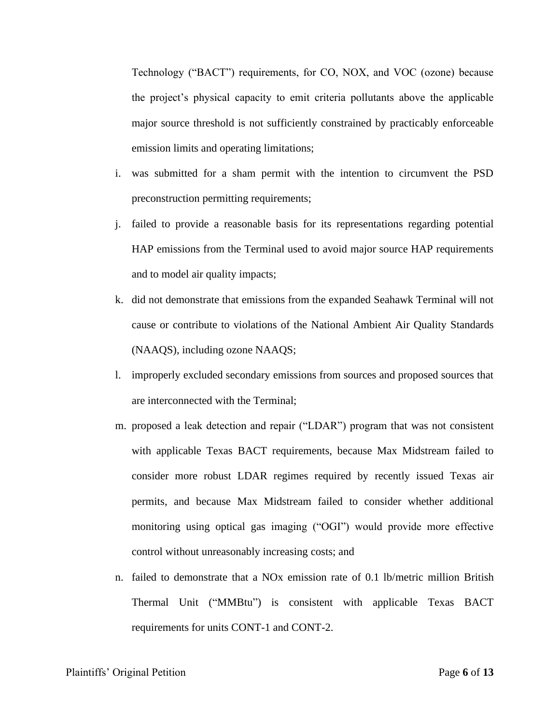Technology ("BACT") requirements, for CO, NOX, and VOC (ozone) because the project's physical capacity to emit criteria pollutants above the applicable major source threshold is not sufficiently constrained by practicably enforceable emission limits and operating limitations;

- i. was submitted for a sham permit with the intention to circumvent the PSD preconstruction permitting requirements;
- j. failed to provide a reasonable basis for its representations regarding potential HAP emissions from the Terminal used to avoid major source HAP requirements and to model air quality impacts;
- k. did not demonstrate that emissions from the expanded Seahawk Terminal will not cause or contribute to violations of the National Ambient Air Quality Standards (NAAQS), including ozone NAAQS;
- l. improperly excluded secondary emissions from sources and proposed sources that are interconnected with the Terminal;
- m. proposed a leak detection and repair ("LDAR") program that was not consistent with applicable Texas BACT requirements, because Max Midstream failed to consider more robust LDAR regimes required by recently issued Texas air permits, and because Max Midstream failed to consider whether additional monitoring using optical gas imaging ("OGI") would provide more effective control without unreasonably increasing costs; and
- n. failed to demonstrate that a NOx emission rate of 0.1 lb/metric million British Thermal Unit ("MMBtu") is consistent with applicable Texas BACT requirements for units CONT-1 and CONT-2.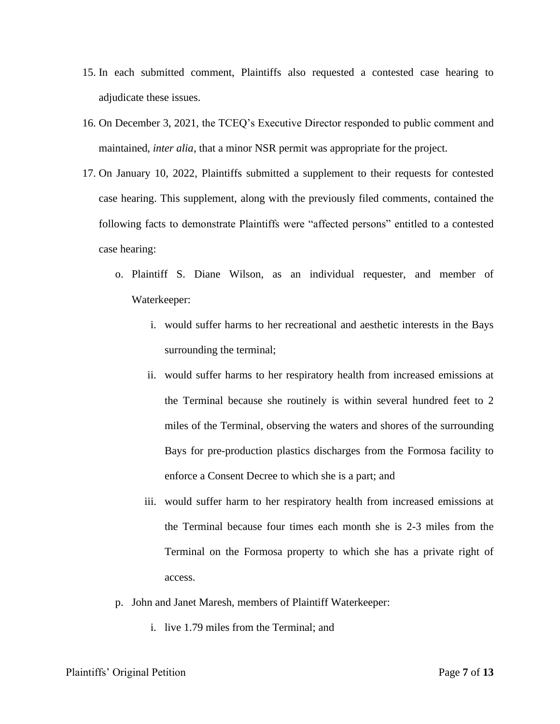- 15. In each submitted comment, Plaintiffs also requested a contested case hearing to adjudicate these issues.
- 16. On December 3, 2021, the TCEQ's Executive Director responded to public comment and maintained, *inter alia*, that a minor NSR permit was appropriate for the project.
- 17. On January 10, 2022, Plaintiffs submitted a supplement to their requests for contested case hearing. This supplement, along with the previously filed comments, contained the following facts to demonstrate Plaintiffs were "affected persons" entitled to a contested case hearing:
	- o. Plaintiff S. Diane Wilson, as an individual requester, and member of Waterkeeper:
		- i. would suffer harms to her recreational and aesthetic interests in the Bays surrounding the terminal;
		- ii. would suffer harms to her respiratory health from increased emissions at the Terminal because she routinely is within several hundred feet to 2 miles of the Terminal, observing the waters and shores of the surrounding Bays for pre-production plastics discharges from the Formosa facility to enforce a Consent Decree to which she is a part; and
		- iii. would suffer harm to her respiratory health from increased emissions at the Terminal because four times each month she is 2-3 miles from the Terminal on the Formosa property to which she has a private right of access.
	- p. John and Janet Maresh, members of Plaintiff Waterkeeper:
		- i. live 1.79 miles from the Terminal; and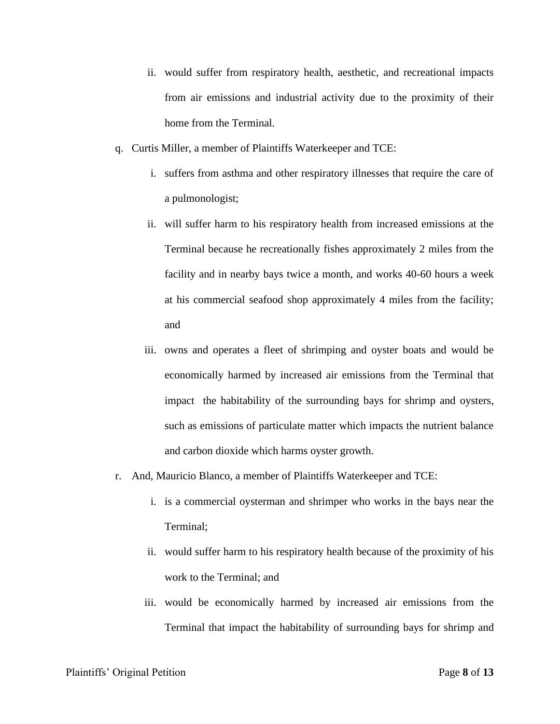- ii. would suffer from respiratory health, aesthetic, and recreational impacts from air emissions and industrial activity due to the proximity of their home from the Terminal.
- q. Curtis Miller, a member of Plaintiffs Waterkeeper and TCE:
	- i. suffers from asthma and other respiratory illnesses that require the care of a pulmonologist;
	- ii. will suffer harm to his respiratory health from increased emissions at the Terminal because he recreationally fishes approximately 2 miles from the facility and in nearby bays twice a month, and works 40-60 hours a week at his commercial seafood shop approximately 4 miles from the facility; and
	- iii. owns and operates a fleet of shrimping and oyster boats and would be economically harmed by increased air emissions from the Terminal that impact the habitability of the surrounding bays for shrimp and oysters, such as emissions of particulate matter which impacts the nutrient balance and carbon dioxide which harms oyster growth.
- r. And, Mauricio Blanco, a member of Plaintiffs Waterkeeper and TCE:
	- i. is a commercial oysterman and shrimper who works in the bays near the Terminal;
	- ii. would suffer harm to his respiratory health because of the proximity of his work to the Terminal; and
	- iii. would be economically harmed by increased air emissions from the Terminal that impact the habitability of surrounding bays for shrimp and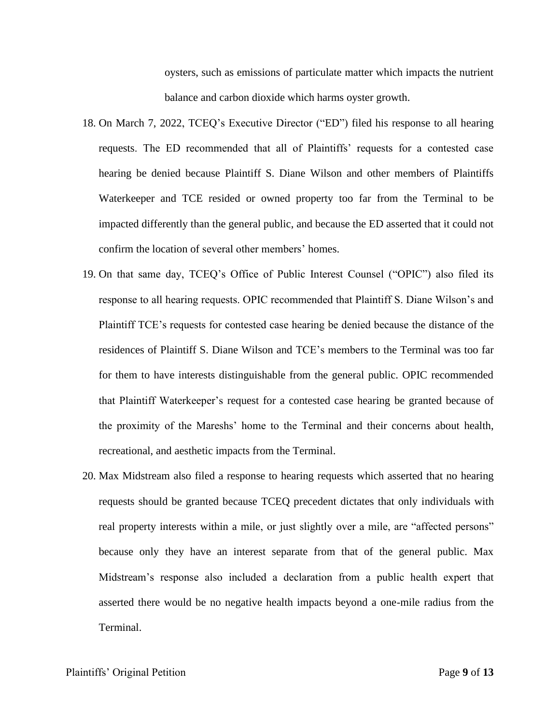oysters, such as emissions of particulate matter which impacts the nutrient balance and carbon dioxide which harms oyster growth.

- 18. On March 7, 2022, TCEQ's Executive Director ("ED") filed his response to all hearing requests. The ED recommended that all of Plaintiffs' requests for a contested case hearing be denied because Plaintiff S. Diane Wilson and other members of Plaintiffs Waterkeeper and TCE resided or owned property too far from the Terminal to be impacted differently than the general public, and because the ED asserted that it could not confirm the location of several other members' homes.
- 19. On that same day, TCEQ's Office of Public Interest Counsel ("OPIC") also filed its response to all hearing requests. OPIC recommended that Plaintiff S. Diane Wilson's and Plaintiff TCE's requests for contested case hearing be denied because the distance of the residences of Plaintiff S. Diane Wilson and TCE's members to the Terminal was too far for them to have interests distinguishable from the general public. OPIC recommended that Plaintiff Waterkeeper's request for a contested case hearing be granted because of the proximity of the Mareshs' home to the Terminal and their concerns about health, recreational, and aesthetic impacts from the Terminal.
- 20. Max Midstream also filed a response to hearing requests which asserted that no hearing requests should be granted because TCEQ precedent dictates that only individuals with real property interests within a mile, or just slightly over a mile, are "affected persons" because only they have an interest separate from that of the general public. Max Midstream's response also included a declaration from a public health expert that asserted there would be no negative health impacts beyond a one-mile radius from the Terminal.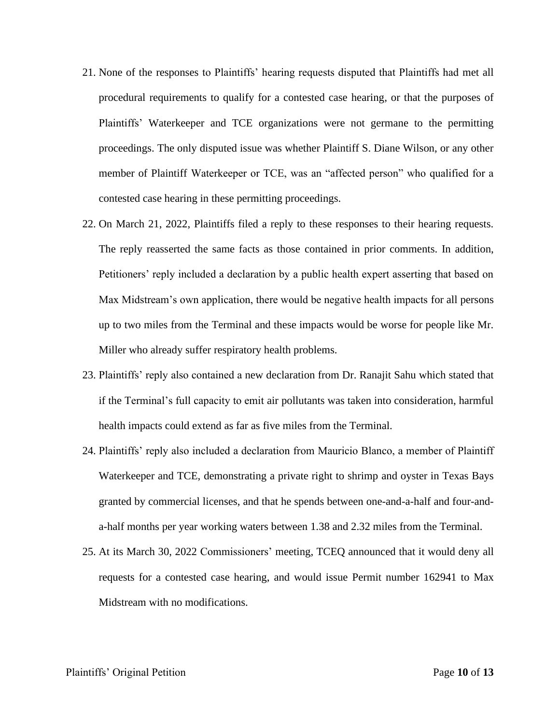- 21. None of the responses to Plaintiffs' hearing requests disputed that Plaintiffs had met all procedural requirements to qualify for a contested case hearing, or that the purposes of Plaintiffs' Waterkeeper and TCE organizations were not germane to the permitting proceedings. The only disputed issue was whether Plaintiff S. Diane Wilson, or any other member of Plaintiff Waterkeeper or TCE, was an "affected person" who qualified for a contested case hearing in these permitting proceedings.
- 22. On March 21, 2022, Plaintiffs filed a reply to these responses to their hearing requests. The reply reasserted the same facts as those contained in prior comments. In addition, Petitioners' reply included a declaration by a public health expert asserting that based on Max Midstream's own application, there would be negative health impacts for all persons up to two miles from the Terminal and these impacts would be worse for people like Mr. Miller who already suffer respiratory health problems.
- 23. Plaintiffs' reply also contained a new declaration from Dr. Ranajit Sahu which stated that if the Terminal's full capacity to emit air pollutants was taken into consideration, harmful health impacts could extend as far as five miles from the Terminal.
- 24. Plaintiffs' reply also included a declaration from Mauricio Blanco, a member of Plaintiff Waterkeeper and TCE, demonstrating a private right to shrimp and oyster in Texas Bays granted by commercial licenses, and that he spends between one-and-a-half and four-anda-half months per year working waters between 1.38 and 2.32 miles from the Terminal.
- 25. At its March 30, 2022 Commissioners' meeting, TCEQ announced that it would deny all requests for a contested case hearing, and would issue Permit number 162941 to Max Midstream with no modifications.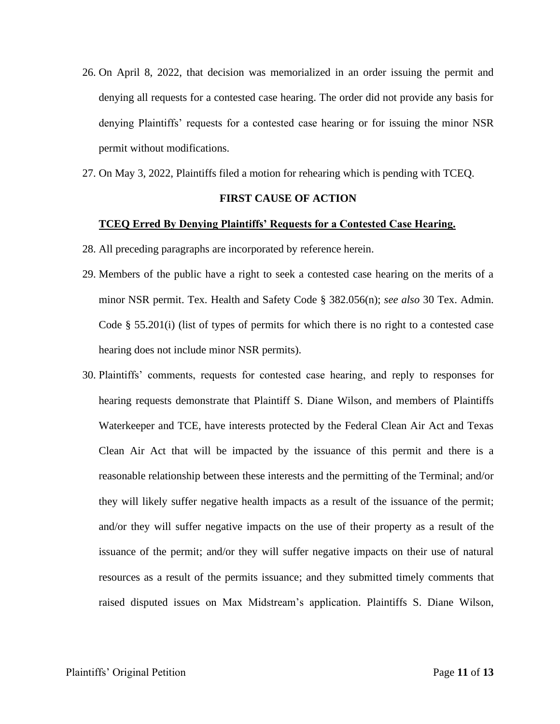- 26. On April 8, 2022, that decision was memorialized in an order issuing the permit and denying all requests for a contested case hearing. The order did not provide any basis for denying Plaintiffs' requests for a contested case hearing or for issuing the minor NSR permit without modifications.
- 27. On May 3, 2022, Plaintiffs filed a motion for rehearing which is pending with TCEQ.

# **FIRST CAUSE OF ACTION**

#### **TCEQ Erred By Denying Plaintiffs' Requests for a Contested Case Hearing.**

- 28. All preceding paragraphs are incorporated by reference herein.
- 29. Members of the public have a right to seek a contested case hearing on the merits of a minor NSR permit. Tex. Health and Safety Code § 382.056(n); *see also* 30 Tex. Admin. Code § 55.201(i) (list of types of permits for which there is no right to a contested case hearing does not include minor NSR permits).
- 30. Plaintiffs' comments, requests for contested case hearing, and reply to responses for hearing requests demonstrate that Plaintiff S. Diane Wilson, and members of Plaintiffs Waterkeeper and TCE, have interests protected by the Federal Clean Air Act and Texas Clean Air Act that will be impacted by the issuance of this permit and there is a reasonable relationship between these interests and the permitting of the Terminal; and/or they will likely suffer negative health impacts as a result of the issuance of the permit; and/or they will suffer negative impacts on the use of their property as a result of the issuance of the permit; and/or they will suffer negative impacts on their use of natural resources as a result of the permits issuance; and they submitted timely comments that raised disputed issues on Max Midstream's application. Plaintiffs S. Diane Wilson,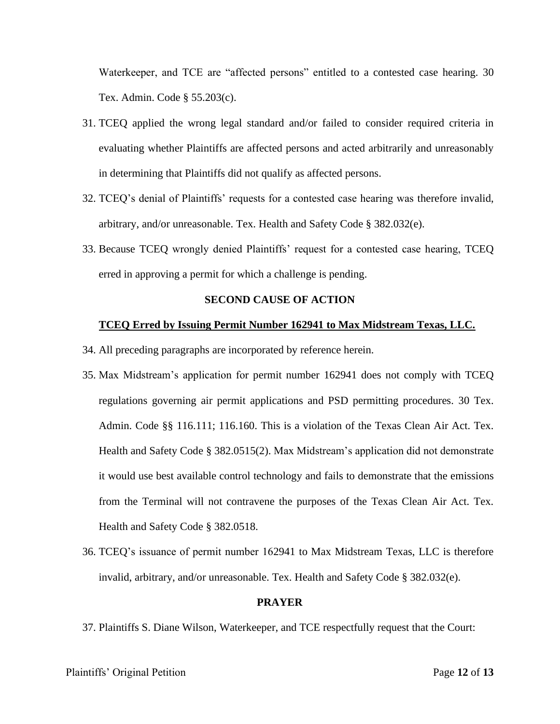Waterkeeper, and TCE are "affected persons" entitled to a contested case hearing. 30 Tex. Admin. Code § 55.203(c).

- 31. TCEQ applied the wrong legal standard and/or failed to consider required criteria in evaluating whether Plaintiffs are affected persons and acted arbitrarily and unreasonably in determining that Plaintiffs did not qualify as affected persons.
- 32. TCEQ's denial of Plaintiffs' requests for a contested case hearing was therefore invalid, arbitrary, and/or unreasonable. Tex. Health and Safety Code § 382.032(e).
- 33. Because TCEQ wrongly denied Plaintiffs' request for a contested case hearing, TCEQ erred in approving a permit for which a challenge is pending.

### **SECOND CAUSE OF ACTION**

#### **TCEQ Erred by Issuing Permit Number 162941 to Max Midstream Texas, LLC.**

- 34. All preceding paragraphs are incorporated by reference herein.
- 35. Max Midstream's application for permit number 162941 does not comply with TCEQ regulations governing air permit applications and PSD permitting procedures. 30 Tex. Admin. Code §§ 116.111; 116.160. This is a violation of the Texas Clean Air Act. Tex. Health and Safety Code § 382.0515(2). Max Midstream's application did not demonstrate it would use best available control technology and fails to demonstrate that the emissions from the Terminal will not contravene the purposes of the Texas Clean Air Act. Tex. Health and Safety Code § 382.0518.
- 36. TCEQ's issuance of permit number 162941 to Max Midstream Texas, LLC is therefore invalid, arbitrary, and/or unreasonable. Tex. Health and Safety Code § 382.032(e).

#### **PRAYER**

37. Plaintiffs S. Diane Wilson, Waterkeeper, and TCE respectfully request that the Court: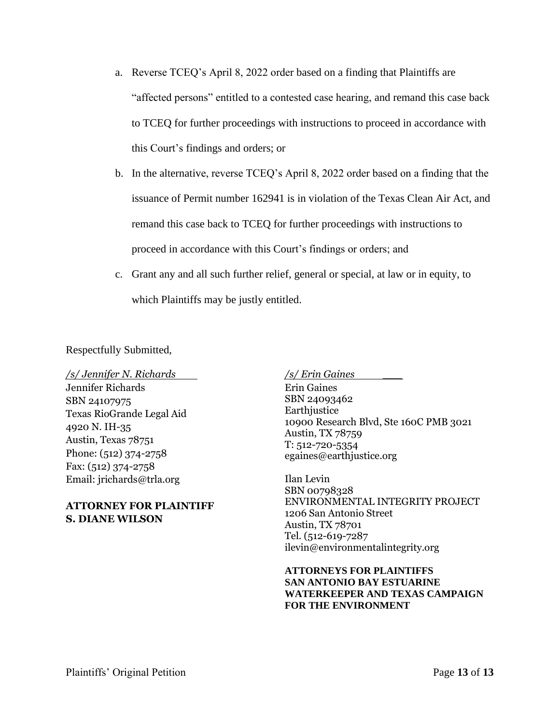- a. Reverse TCEQ's April 8, 2022 order based on a finding that Plaintiffs are "affected persons" entitled to a contested case hearing, and remand this case back to TCEQ for further proceedings with instructions to proceed in accordance with this Court's findings and orders; or
- b. In the alternative, reverse TCEQ's April 8, 2022 order based on a finding that the issuance of Permit number 162941 is in violation of the Texas Clean Air Act, and remand this case back to TCEQ for further proceedings with instructions to proceed in accordance with this Court's findings or orders; and
- c. Grant any and all such further relief, general or special, at law or in equity, to which Plaintiffs may be justly entitled.

Respectfully Submitted,

*/s/ Jennifer N. Richards* 

Jennifer Richards SBN 24107975 Texas RioGrande Legal Aid 4920 N. IH-35 Austin, Texas 78751 Phone: (512) 374-2758 Fax: (512) 374-2758 Email: jrichards@trla.org

# **ATTORNEY FOR PLAINTIFF S. DIANE WILSON**

*/s/ Erin Gaines \_\_\_*

Erin Gaines SBN 24093462 **Earthjustice** 10900 Research Blvd, Ste 160C PMB 3021 Austin, TX 78759 T: 512-720-5354 egaines@earthjustice.org

Ilan Levin SBN 00798328 ENVIRONMENTAL INTEGRITY PROJECT 1206 San Antonio Street Austin, TX 78701 Tel. (512-619-7287 ilevin@environmentalintegrity.org

**ATTORNEYS FOR PLAINTIFFS SAN ANTONIO BAY ESTUARINE WATERKEEPER AND TEXAS CAMPAIGN FOR THE ENVIRONMENT**